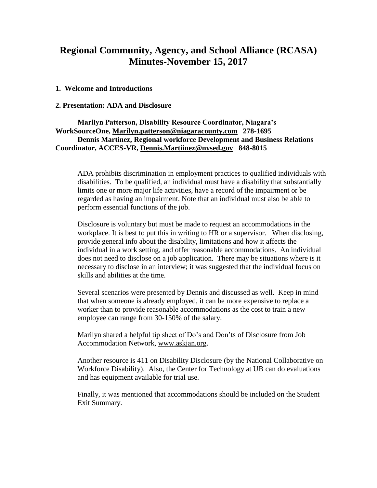## **Regional Community, Agency, and School Alliance (RCASA) Minutes-November 15, 2017**

#### **1. Welcome and Introductions**

#### **2. Presentation: ADA and Disclosure**

**Marilyn Patterson, Disability Resource Coordinator, Niagara's WorkSourceOne, [Marilyn.patterson@niagaracounty.com](mailto:Marilyn.patterson@niagaracounty.com) 278-1695 Dennis Martinez, Regional workforce Development and Business Relations Coordinator, ACCES-VR, [Dennis.Martiinez@nysed.gov](mailto:Dennis.Martiinez@nysed.gov) 848-8015**

ADA prohibits discrimination in employment practices to qualified individuals with disabilities. To be qualified, an individual must have a disability that substantially limits one or more major life activities, have a record of the impairment or be regarded as having an impairment. Note that an individual must also be able to perform essential functions of the job.

Disclosure is voluntary but must be made to request an accommodations in the workplace. It is best to put this in writing to HR or a supervisor. When disclosing, provide general info about the disability, limitations and how it affects the individual in a work setting, and offer reasonable accommodations. An individual does not need to disclose on a job application. There may be situations where is it necessary to disclose in an interview; it was suggested that the individual focus on skills and abilities at the time.

Several scenarios were presented by Dennis and discussed as well. Keep in mind that when someone is already employed, it can be more expensive to replace a worker than to provide reasonable accommodations as the cost to train a new employee can range from 30-150% of the salary.

Marilyn shared a helpful tip sheet of Do's and Don'ts of Disclosure from Job Accommodation Network, [www.askjan.org.](http://www.askjan.org/)

Another resource is 411 on Disability Disclosure (by the National Collaborative on Workforce Disability). Also, the Center for Technology at UB can do evaluations and has equipment available for trial use.

Finally, it was mentioned that accommodations should be included on the Student Exit Summary.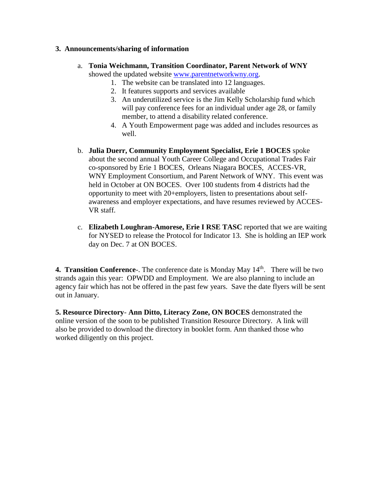### **3. Announcements/sharing of information**

- a. **Tonia Weichmann, Transition Coordinator, Parent Network of WNY**  showed the updated website [www.parentnetworkwny.org.](http://www.parentnetworkwny.org/)
	- 1. The website can be translated into 12 languages.
	- 2. It features supports and services available
	- 3. An underutilized service is the Jim Kelly Scholarship fund which will pay conference fees for an individual under age 28, or family member, to attend a disability related conference.
	- 4. A Youth Empowerment page was added and includes resources as well.
- b. **Julia Duerr, Community Employment Specialist, Erie 1 BOCES** spoke about the second annual Youth Career College and Occupational Trades Fair co-sponsored by Erie 1 BOCES, Orleans Niagara BOCES, ACCES-VR, WNY Employment Consortium, and Parent Network of WNY. This event was held in October at ON BOCES.Over 100 students from 4 districts had the opportunity to meet with 20+employers, listen to presentations about selfawareness and employer expectations, and have resumes reviewed by ACCES-VR staff.
- c. **Elizabeth Loughran-Amorese, Erie I RSE TASC** reported that we are waiting for NYSED to release the Protocol for Indicator 13. She is holding an IEP work day on Dec. 7 at ON BOCES.

**4. Transition Conference**-. The conference date is Monday May 14<sup>th</sup>. There will be two strands again this year: OPWDD and Employment. We are also planning to include an agency fair which has not be offered in the past few years. Save the date flyers will be sent out in January.

**5. Resource Directory**- **Ann Ditto, Literacy Zone, ON BOCES** demonstrated the online version of the soon to be published Transition Resource Directory. A link will also be provided to download the directory in booklet form. Ann thanked those who worked diligently on this project.